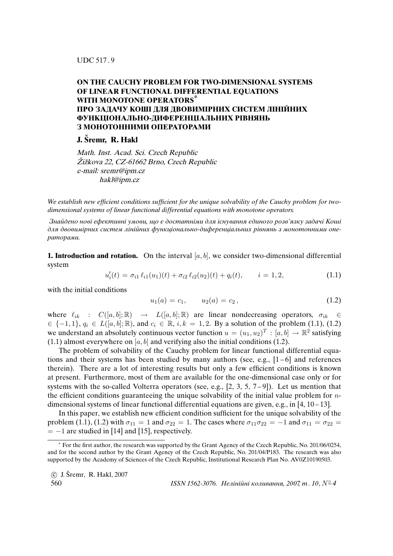UDC 517 . 9

## **ON THE CAUCHY PROBLEM FOR TWO-DIMENSIONAL SYSTEMS OF LINEAR FUNCTIONAL DIFFERENTIAL EQUATIONS WITH MONOTONE OPERATORS\* ПРО ЗАДАЧУ КОШI ДЛЯ ДВОВИМIРНИХ СИСТЕМ ЛIНIЙНИХ ФУНКЦIОНАЛЬНО-ДИФЕРЕНЦIАЛЬНИХ РIВНЯНЬ З МОНОТОННИМИ ОПЕРАТОРАМИ**

**J. Sremr, R. Hakl ˇ**

Math. Inst. Acad. Sci. Czech Republic Žižkova 22, CZ-61662 Brno, Czech Republic e-mail: sremr@ipm.cz hakl@ipm.cz

*We establish new efficient conditions sufficient for the unique solvability of the Cauchy problem for twodimensional systems of linear functional differential equations with monotone operators.*

Знайдено новi ефективнi умови, що є достатнiми для iснування єдиного розв'язку задачi Кошi для двовимiрних систем лiнiйних функцiонально-диференцiальних рiвнянь з монотонними операторами.

**1. Introduction and rotation.** On the interval  $[a, b]$ , we consider two-dimensional differential system

$$
u'_{i}(t) = \sigma_{i1} \ell_{i1}(u_{1})(t) + \sigma_{i2} \ell_{i2}(u_{2})(t) + q_{i}(t), \qquad i = 1, 2,
$$
\n(1.1)

with the initial conditions

$$
u_1(a) = c_1, \qquad u_2(a) = c_2, \tag{1.2}
$$

where  $\ell_{ik}$  :  $C([a, b]; \mathbb{R}) \rightarrow L([a, b]; \mathbb{R})$  are linear nondecreasing operators,  $\sigma_{ik} \in$  $\in \{-1, 1\}, q_i \in L([a, b]; \mathbb{R})$ , and  $c_i \in \mathbb{R}, i, k = 1, 2$ . By a solution of the problem (1.1), (1.2) we understand an absolutely continuous vector function  $u = (u_1, u_2)^T : [a, b] \to \mathbb{R}^2$  satisfying (1.1) almost everywhere on  $[a, b]$  and verifying also the initial conditions (1.2).

The problem of solvability of the Cauchy problem for linear functional differential equations and their systems has been studied by many authors (see, e.g.,  $[1-6]$  and references therein). There are a lot of interesting results but only a few efficient conditions is known at present. Furthermore, most of them are available for the one-dimensional case only or for systems with the so-called Volterra operators (see, e.g.,  $[2, 3, 5, 7-9]$ ). Let us mention that the efficient conditions guaranteeing the unique solvability of the initial value problem for  $n$ dimensional systems of linear functional differential equations are given, e.g., in  $[4, 10-13]$ .

In this paper, we establish new efficient condition sufficient for the unique solvability of the problem (1.1), (1.2) with  $\sigma_{11} = 1$  and  $\sigma_{22} = 1$ . The cases where  $\sigma_{11}\sigma_{22} = -1$  and  $\sigma_{11} = \sigma_{22} =$  $= -1$  are studied in [14] and [15], respectively.

<sup>∗</sup> For the first author, the research was supported by the Grant Agency of the Czech Republic, No. 201/06/0254, and for the second author by the Grant Agency of the Czech Republic, No. 201/04/P183. The research was also supported by the Academy of Sciences of the Czech Republic, Institutional Research Plan No. AV0Z10190503.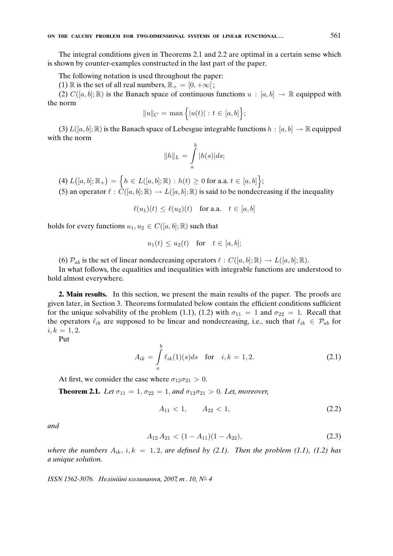The integral conditions given in Theorems 2.1 and 2.2 are optimal in a certain sense which is shown by counter-examples constructed in the last part of the paper.

The following notation is used throughout the paper:

(1) R is the set of all real numbers,  $\mathbb{R}_+ = [0, +\infty]$ ;

(2)  $C([a, b]; \mathbb{R})$  is the Banach space of continuous functions  $u : [a, b] \rightarrow \mathbb{R}$  equipped with the norm

$$
||u||_C = \max\Big\{ |u(t)| : t \in [a, b] \Big\};
$$

(3)  $L([a, b]; \mathbb{R})$  is the Banach space of Lebesgue integrable functions  $h : [a, b] \to \mathbb{R}$  equipped with the norm

$$
||h||_L = \int_a^b |h(s)|ds;
$$

 $\mathcal{L}\big( [a,b]; \mathbb{R}_+ \big) \, = \, \Big\{ h \, \in \, L([a,b]; \mathbb{R}) \, : \, h(t) \, \geq \, 0 \text{ for a.a. } t \, \in \, [a,b] \Big\};$ 

(5) an operator  $\ell : \tilde{C}([a, b]; \mathbb{R}) \to L([a, b]; \mathbb{R})$  is said to be nondecreasing if the inequality

$$
\ell(u_1)(t) \le \ell(u_2)(t) \quad \text{for a.a.} \quad t \in [a, b]
$$

holds for every functions  $u_1, u_2 \in C([a, b]; \mathbb{R})$  such that

$$
u_1(t) \le u_2(t) \quad \text{for} \quad t \in [a, b];
$$

(6)  $\mathcal{P}_{ab}$  is the set of linear nondecreasing operators  $\ell : C([a, b]; \mathbb{R}) \to L([a, b]; \mathbb{R}).$ 

In what follows, the equalities and inequalities with integrable functions are understood to hold almost everywhere.

**2. Main results.** In this section, we present the main results of the paper. The proofs are given later, in Section 3. Theorems formulated below contain the efficient conditions sufficient for the unique solvability of the problem (1.1), (1.2) with  $\sigma_{11} = 1$  and  $\sigma_{22} = 1$ . Recall that the operators  $\ell_{ik}$  are supposed to be linear and nondecreasing, i.e., such that  $\ell_{ik} \in \mathcal{P}_{ab}$  for  $i, k = 1, 2.$ 

Put

$$
A_{ik} = \int_{a}^{b} \ell_{ik}(1)(s)ds \text{ for } i, k = 1, 2.
$$
 (2.1)

At first, we consider the case where  $\sigma_{12}\sigma_{21} > 0$ .

**Theorem 2.1.** *Let*  $\sigma_{11} = 1, \sigma_{22} = 1,$  *and*  $\sigma_{12} \sigma_{21} > 0$ *. Let, moreover,* 

$$
A_{11} < 1, \qquad A_{22} < 1,\tag{2.2}
$$

*and*

$$
A_{12} A_{21} < (1 - A_{11})(1 - A_{22}), \tag{2.3}
$$

*where the numbers*  $A_{ik}$ ,  $i, k = 1, 2$ , *are defined by (2.1). Then the problem (1.1), (1.2) has a unique solution.*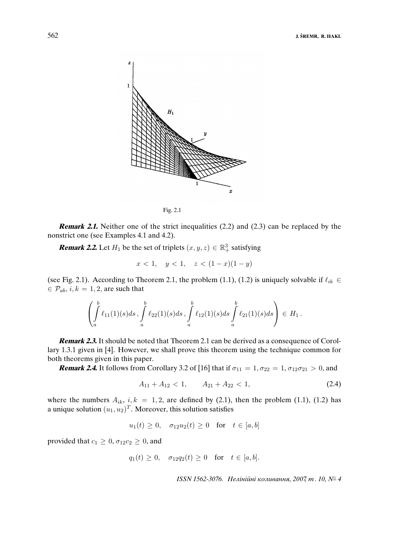



**Remark 2.1.** Neither one of the strict inequalities (2.2) and (2.3) can be replaced by the nonstrict one (see Examples 4.1 and 4.2).

**Remark 2.2.** Let  $H_1$  be the set of triplets  $(x, y, z) \in \mathbb{R}^3_+$  satisfying

$$
x < 1, \quad y < 1, \quad z < (1 - x)(1 - y)
$$

(see Fig. 2.1). According to Theorem 2.1, the problem (1.1), (1.2) is uniquely solvable if  $\ell_{ik} \in$  $\in \mathcal{P}_{ab}$ ,  $i, k = 1, 2$ , are such that

$$
\left(\int_a^b \ell_{11}(1)(s)ds \, , \, \int_a^b \ell_{22}(1)(s)ds \, , \, \int_a^b \ell_{12}(1)(s)ds \, \int_a^b \ell_{21}(1)(s)ds \right) \, \in H_1 \, .
$$

**Remark 2.3.** It should be noted that Theorem 2.1 can be derived as a consequence of Corollary 1.3.1 given in [4]. However, we shall prove this theorem using the technique common for both theorems given in this paper.

**Remark 2.4.** It follows from Corollary 3.2 of [16] that if  $\sigma_{11} = 1, \sigma_{22} = 1, \sigma_{12}\sigma_{21} > 0$ , and

$$
A_{11} + A_{12} < 1, \qquad A_{21} + A_{22} < 1,\tag{2.4}
$$

where the numbers  $A_{ik}$ ,  $i, k = 1, 2$ , are defined by (2.1), then the problem (1.1), (1.2) has a unique solution  $(u_1, u_2)^T$ . Moreover, this solution satisfies

$$
u_1(t) \ge 0
$$
,  $\sigma_{12}u_2(t) \ge 0$  for  $t \in [a, b]$ 

provided that  $c_1 \geq 0$ ,  $\sigma_{12}c_2 \geq 0$ , and

$$
q_1(t) \ge 0
$$
,  $\sigma_{12}q_2(t) \ge 0$  for  $t \in [a, b]$ .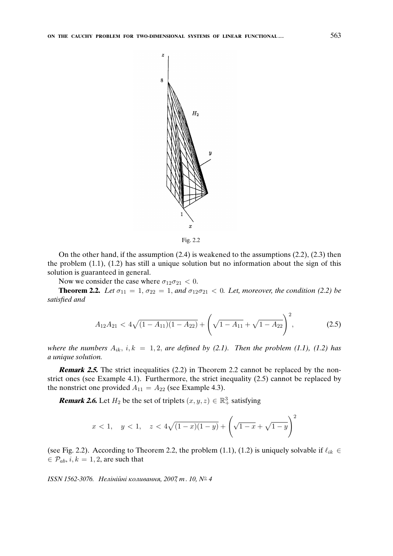

On the other hand, if the assumption (2.4) is weakened to the assumptions (2.2), (2.3) then the problem (1.1), (1.2) has still a unique solution but no information about the sign of this solution is guaranteed in general.

Now we consider the case where  $\sigma_{12}\sigma_{21} < 0$ .

**Theorem 2.2.** *Let*  $\sigma_{11} = 1, \sigma_{22} = 1,$  *and*  $\sigma_{12}\sigma_{21} < 0$ *. Let, moreover, the condition (2.2) be satisfied and*

$$
A_{12}A_{21} < 4\sqrt{(1-A_{11})(1-A_{22})} + \left(\sqrt{1-A_{11}} + \sqrt{1-A_{22}}\right)^2,\tag{2.5}
$$

*where the numbers*  $A_{ik}$ ,  $i, k = 1, 2$ , *are defined by (2.1). Then the problem (1.1), (1.2) has a unique solution.*

**Remark 2.5.** The strict inequalities (2.2) in Theorem 2.2 cannot be replaced by the nonstrict ones (see Example 4.1). Furthermore, the strict inequality (2.5) cannot be replaced by the nonstrict one provided  $A_{11} = A_{22}$  (see Example 4.3).

**Remark 2.6.** Let  $H_2$  be the set of triplets  $(x, y, z) \in \mathbb{R}^3_+$  satisfying

$$
x < 1
$$
,  $y < 1$ ,  $z < 4\sqrt{(1-x)(1-y)} + \left(\sqrt{1-x} + \sqrt{1-y}\right)^2$ 

(see Fig. 2.2). According to Theorem 2.2, the problem (1.1), (1.2) is uniquely solvable if  $\ell_{ik} \in$  $\in \mathcal{P}_{ab}$ ,  $i, k = 1, 2$ , are such that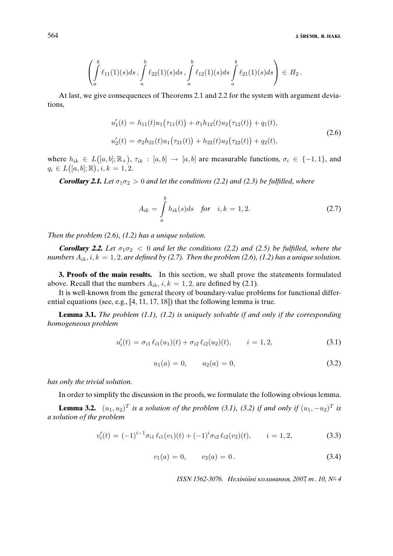$$
\left(\int_a^b \ell_{11}(1)(s)ds \, , \, \int_a^b \ell_{22}(1)(s)ds \, , \, \int_a^b \ell_{12}(1)(s)ds \, \int_a^b \ell_{21}(1)(s)ds \right) \, \in \, H_2 \, .
$$

At last, we give consequences of Theorems 2.1 and 2.2 for the system with argument deviations,

$$
u'_1(t) = h_{11}(t)u_1(\tau_{11}(t)) + \sigma_1 h_{12}(t)u_2(\tau_{12}(t)) + q_1(t),
$$
  
\n
$$
u'_2(t) = \sigma_2 h_{21}(t)u_1(\tau_{21}(t)) + h_{22}(t)u_2(\tau_{22}(t)) + q_2(t),
$$
\n(2.6)

where  $h_{ik} \in L([a, b]; \mathbb{R}_+), \tau_{ik} : [a, b] \to [a, b]$  are measurable functions,  $\sigma_i \in \{-1, 1\}$ , and  $q_i \in L([a, b]; \mathbb{R}), i, k = 1, 2.$ 

**Corollary 2.1.** Let  $\sigma_1 \sigma_2 > 0$  and let the conditions (2.2) and (2.3) be fulfilled, where

$$
A_{ik} = \int_{a}^{b} h_{ik}(s)ds \text{ for } i, k = 1, 2.
$$
 (2.7)

*Then the problem (2.6), (1.2) has a unique solution.*

**Corollary 2.2.** Let  $\sigma_1 \sigma_2 < 0$  and let the conditions (2.2) and (2.5) be fulfilled, where the *numbers*  $A_{ik}$ ,  $i, k = 1, 2$ , *are defined by (2.7). Then the problem (2.6), (1.2) has a unique solution.* 

**3. Proofs of the main results.** In this section, we shall prove the statements formulated above. Recall that the numbers  $A_{ik}$ ,  $i, k = 1, 2$ , are defined by (2.1).

It is well-known from the general theory of boundary-value problems for functional differential equations (see, e.g., [4, 11, 17, 18]) that the following lemma is true.

**Lemma 3.1.** *The problem (1.1), (1.2) is uniquely solvable if and only if the corresponding homogeneous problem*

$$
u'_{i}(t) = \sigma_{i1} \ell_{i1}(u_{1})(t) + \sigma_{i2} \ell_{i2}(u_{2})(t), \qquad i = 1, 2,
$$
\n(3.1)

$$
u_1(a) = 0, \qquad u_2(a) = 0,\tag{3.2}
$$

*has only the trivial solution.*

In order to simplify the discussion in the proofs, we formulate the following obvious lemma.

**Lemma 3.2.**  $(u_1, u_2)^T$  is a solution of the problem (3.1), (3.2) if and only if  $(u_1, -u_2)^T$  is *a solution of the problem*

$$
v_i'(t) = (-1)^{i-1} \sigma_{i1} \ell_{i1}(v_1)(t) + (-1)^i \sigma_{i2} \ell_{i2}(v_2)(t), \qquad i = 1, 2,
$$
\n(3.3)

$$
v_1(a) = 0, \qquad v_2(a) = 0. \tag{3.4}
$$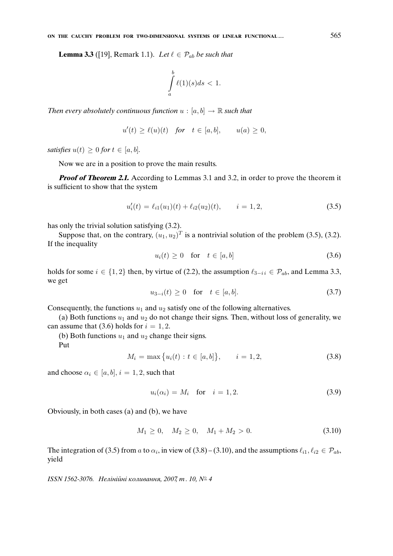**Lemma 3.3** ([19], Remark 1.1). *Let*  $\ell \in \mathcal{P}_{ab}$  *be such that* 

$$
\int_{a}^{b} \ell(1)(s)ds < 1.
$$

*Then every absolutely continuous function*  $u : [a, b] \rightarrow \mathbb{R}$  *such that* 

$$
u'(t) \ge \ell(u)(t) \quad \text{for} \quad t \in [a, b], \qquad u(a) \ge 0,
$$

*satisfies*  $u(t) \geq 0$  *for*  $t \in [a, b]$ *.* 

Now we are in a position to prove the main results.

**Proof of Theorem 2.1.** According to Lemmas 3.1 and 3.2, in order to prove the theorem it is sufficient to show that the system

$$
u_i'(t) = \ell_{i1}(u_1)(t) + \ell_{i2}(u_2)(t), \qquad i = 1, 2,
$$
\n(3.5)

has only the trivial solution satisfying (3.2).

Suppose that, on the contrary,  $(u_1, u_2)^T$  is a nontrivial solution of the problem (3.5), (3.2). If the inequality

$$
u_i(t) \ge 0 \quad \text{for} \quad t \in [a, b] \tag{3.6}
$$

holds for some  $i \in \{1, 2\}$  then, by virtue of (2.2), the assumption  $\ell_{3-i} \in \mathcal{P}_{ab}$ , and Lemma 3.3, we get

$$
u_{3-i}(t) \ge 0 \quad \text{for} \quad t \in [a, b]. \tag{3.7}
$$

Consequently, the functions  $u_1$  and  $u_2$  satisfy one of the following alternatives.

(a) Both functions  $u_1$  and  $u_2$  do not change their signs. Then, without loss of generality, we can assume that (3.6) holds for  $i = 1, 2$ .

(b) Both functions  $u_1$  and  $u_2$  change their signs.

Put

$$
M_i = \max\{u_i(t) : t \in [a, b]\}, \qquad i = 1, 2,
$$
\n(3.8)

and choose  $\alpha_i \in [a, b], i = 1, 2$ , such that

$$
u_i(\alpha_i) = M_i \quad \text{for} \quad i = 1, 2. \tag{3.9}
$$

Obviously, in both cases (a) and (b), we have

$$
M_1 \ge 0, \quad M_2 \ge 0, \quad M_1 + M_2 > 0. \tag{3.10}
$$

The integration of (3.5) from a to  $\alpha_i$ , in view of (3.8) – (3.10), and the assumptions  $\ell_{i1}, \ell_{i2} \in \mathcal{P}_{ab}$ , yield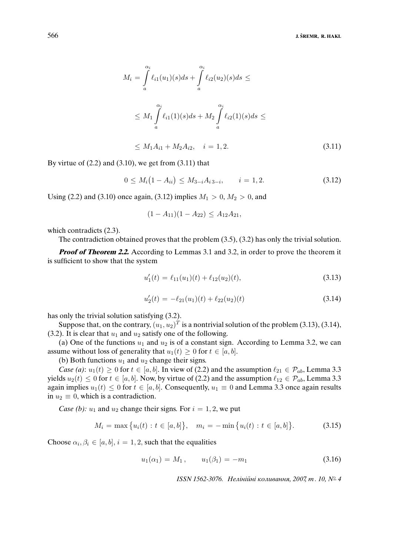$$
M_{i} = \int_{a}^{\alpha_{i}} \ell_{i1}(u_{1})(s)ds + \int_{a}^{\alpha_{i}} \ell_{i2}(u_{2})(s)ds \le
$$
  

$$
\leq M_{1} \int_{a}^{\alpha_{i}} \ell_{i1}(1)(s)ds + M_{2} \int_{a}^{\alpha_{i}} \ell_{i2}(1)(s)ds \le
$$
  

$$
\leq M_{1}A_{i1} + M_{2}A_{i2}, \quad i = 1, 2.
$$
 (3.11)

By virtue of  $(2.2)$  and  $(3.10)$ , we get from  $(3.11)$  that

$$
0 \le M_i(1 - A_{ii}) \le M_{3-i}A_{i\,3-i}, \qquad i = 1, 2. \tag{3.12}
$$

Using (2.2) and (3.10) once again, (3.12) implies  $M_1 > 0$ ,  $M_2 > 0$ , and

$$
(1 - A_{11})(1 - A_{22}) \le A_{12}A_{21},
$$

which contradicts  $(2.3)$ .

The contradiction obtained proves that the problem (3.5), (3.2) has only the trivial solution.

**Proof of Theorem 2.2.** According to Lemmas 3.1 and 3.2, in order to prove the theorem it is sufficient to show that the system

$$
u_1'(t) = \ell_{11}(u_1)(t) + \ell_{12}(u_2)(t), \tag{3.13}
$$

$$
u_2'(t) = -\ell_{21}(u_1)(t) + \ell_{22}(u_2)(t)
$$
\n(3.14)

has only the trivial solution satisfying (3.2).

Suppose that, on the contrary,  $(u_1, u_2)^T$  is a nontrivial solution of the problem (3.13), (3.14), (3.2). It is clear that  $u_1$  and  $u_2$  satisfy one of the following.

(a) One of the functions  $u_1$  and  $u_2$  is of a constant sign. According to Lemma 3.2, we can assume without loss of generality that  $u_1(t) \geq 0$  for  $t \in [a, b]$ .

(b) Both functions  $u_1$  and  $u_2$  change their signs.

*Case (a)*:  $u_1(t) \geq 0$  for  $t \in [a, b]$ . In view of (2.2) and the assumption  $\ell_{21} \in \mathcal{P}_{ab}$ , Lemma 3.3 yields  $u_2(t) \leq 0$  for  $t \in [a, b]$ . Now, by virtue of (2.2) and the assumption  $\ell_{12} \in \mathcal{P}_{ab}$ , Lemma 3.3 again implies  $u_1(t) \leq 0$  for  $t \in [a, b]$ . Consequently,  $u_1 \equiv 0$  and Lemma 3.3 once again results in  $u_2 \equiv 0$ , which is a contradiction.

*Case (b):*  $u_1$  and  $u_2$  change their signs. For  $i = 1, 2$ , we put

$$
M_i = \max\{u_i(t) : t \in [a, b]\}, \quad m_i = -\min\{u_i(t) : t \in [a, b]\}.
$$
 (3.15)

Choose  $\alpha_i, \beta_i \in [a, b], i = 1, 2$ , such that the equalities

$$
u_1(\alpha_1) = M_1, \qquad u_1(\beta_1) = -m_1 \tag{3.16}
$$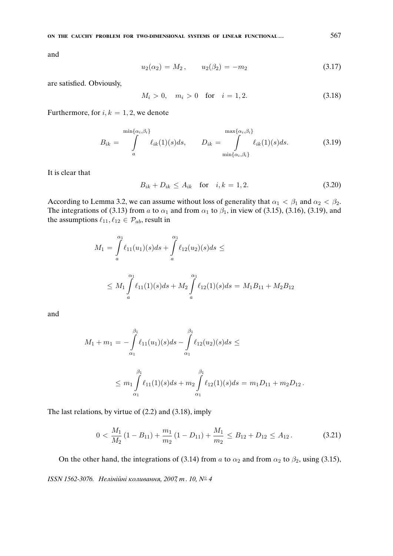and

$$
u_2(\alpha_2) = M_2, \qquad u_2(\beta_2) = -m_2 \tag{3.17}
$$

are satisfied. Obviously,

$$
M_i > 0, \quad m_i > 0 \quad \text{for} \quad i = 1, 2. \tag{3.18}
$$

Furthermore, for  $i, k = 1, 2$ , we denote

$$
B_{ik} = \int_{a}^{\min\{\alpha_i,\beta_i\}} \ell_{ik}(1)(s)ds, \qquad D_{ik} = \int_{\min\{\alpha_i,\beta_i\}}^{\max\{\alpha_i,\beta_i\}} \ell_{ik}(1)(s)ds.
$$
 (3.19)

It is clear that

$$
B_{ik} + D_{ik} \le A_{ik} \quad \text{for} \quad i, k = 1, 2. \tag{3.20}
$$

According to Lemma 3.2, we can assume without loss of generality that  $\alpha_1 < \beta_1$  and  $\alpha_2 < \beta_2$ . The integrations of (3.13) from a to  $\alpha_1$  and from  $\alpha_1$  to  $\beta_1$ , in view of (3.15), (3.16), (3.19), and the assumptions  $\ell_{11}, \ell_{12} \in \mathcal{P}_{ab}$ , result in

$$
M_1 = \int_a^{\alpha_1} \ell_{11}(u_1)(s)ds + \int_a^{\alpha_1} \ell_{12}(u_2)(s)ds \le
$$
  

$$
\leq M_1 \int_a^{\alpha_1} \ell_{11}(1)(s)ds + M_2 \int_a^{\alpha_1} \ell_{12}(1)(s)ds = M_1B_{11} + M_2B_{12}
$$

and

$$
M_1 + m_1 = -\int_{\alpha_1}^{\beta_1} \ell_{11}(u_1)(s)ds - \int_{\alpha_1}^{\beta_1} \ell_{12}(u_2)(s)ds \le
$$

$$
\leq m_1 \int_{\alpha_1}^{\beta_1} \ell_{11}(1)(s) ds + m_2 \int_{\alpha_1}^{\beta_1} \ell_{12}(1)(s) ds = m_1 D_{11} + m_2 D_{12}.
$$

The last relations, by virtue of (2.2) and (3.18), imply

$$
0 < \frac{M_1}{M_2} \left( 1 - B_{11} \right) + \frac{m_1}{m_2} \left( 1 - D_{11} \right) + \frac{M_1}{m_2} \le B_{12} + D_{12} \le A_{12} \,. \tag{3.21}
$$

On the other hand, the integrations of (3.14) from a to  $\alpha_2$  and from  $\alpha_2$  to  $\beta_2$ , using (3.15),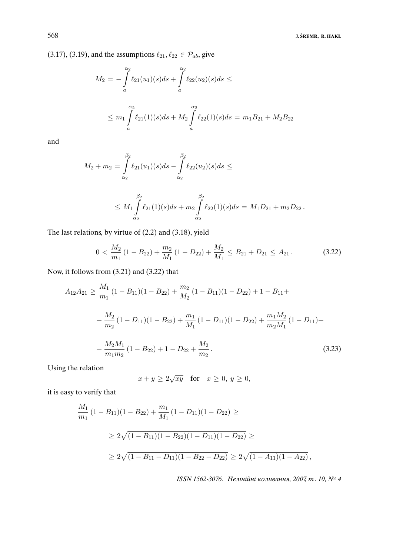(3.17), (3.19), and the assumptions  $\ell_{21}, \ell_{22} \in \mathcal{P}_{ab}$ , give

$$
M_2 = -\int_a^{\alpha_2} \ell_{21}(u_1)(s)ds + \int_a^{\alpha_2} \ell_{22}(u_2)(s)ds \le
$$
  

$$
\leq m_1 \int_a^{\alpha_2} \ell_{21}(1)(s)ds + M_2 \int_a^{\alpha_2} \ell_{22}(1)(s)ds = m_1B_{21} + M_2B_{22}
$$

and

$$
M_2 + m_2 = \int_{\alpha_2}^{\beta_2} \ell_{21}(u_1)(s)ds - \int_{\alpha_2}^{\beta_2} \ell_{22}(u_2)(s)ds \le
$$

$$
\leq M_1 \int_{\alpha_2}^{\beta_2} \ell_{21}(1)(s) ds + m_2 \int_{\alpha_2}^{\beta_2} \ell_{22}(1)(s) ds = M_1 D_{21} + m_2 D_{22}.
$$

The last relations, by virtue of (2.2) and (3.18), yield

$$
0 < \frac{M_2}{m_1} \left( 1 - B_{22} \right) + \frac{m_2}{M_1} \left( 1 - D_{22} \right) + \frac{M_2}{M_1} \le B_{21} + D_{21} \le A_{21} \,. \tag{3.22}
$$

Now, it follows from (3.21) and (3.22) that

$$
A_{12}A_{21} \ge \frac{M_1}{m_1}(1 - B_{11})(1 - B_{22}) + \frac{m_2}{M_2}(1 - B_{11})(1 - D_{22}) + 1 - B_{11} +
$$
  
+ 
$$
\frac{M_2}{m_2}(1 - D_{11})(1 - B_{22}) + \frac{m_1}{M_1}(1 - D_{11})(1 - D_{22}) + \frac{m_1 M_2}{m_2 M_1}(1 - D_{11}) +
$$
  
+ 
$$
\frac{M_2 M_1}{m_1 m_2}(1 - B_{22}) + 1 - D_{22} + \frac{M_2}{m_2}.
$$
 (3.23)

Using the relation

$$
x + y \ge 2\sqrt{xy} \quad \text{for} \quad x \ge 0, \ y \ge 0,
$$

it is easy to verify that

$$
\frac{M_1}{m_1} (1 - B_{11})(1 - B_{22}) + \frac{m_1}{M_1} (1 - D_{11})(1 - D_{22}) \ge
$$
\n
$$
\ge 2\sqrt{(1 - B_{11})(1 - B_{22})(1 - D_{11})(1 - D_{22})} \ge
$$
\n
$$
\ge 2\sqrt{(1 - B_{11} - D_{11})(1 - B_{22} - D_{22})} \ge 2\sqrt{(1 - A_{11})(1 - A_{22})},
$$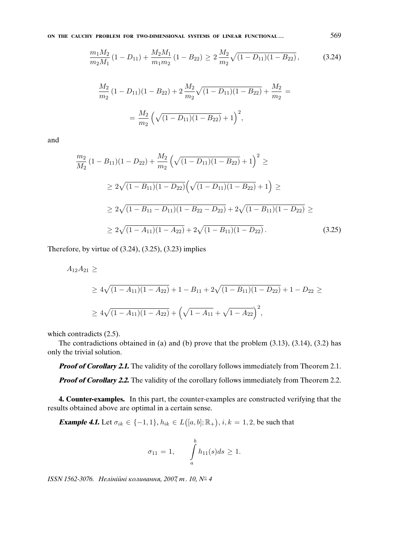**ON THE CAUCHY PROBLEM FOR TWO-DIMENSIONAL SYSTEMS OF LINEAR FUNCTIONAL . . .** 569

$$
\frac{m_1 M_2}{m_2 M_1} (1 - D_{11}) + \frac{M_2 M_1}{m_1 m_2} (1 - B_{22}) \ge 2 \frac{M_2}{m_2} \sqrt{(1 - D_{11})(1 - B_{22})},
$$
(3.24)

$$
\frac{M_2}{m_2} (1 - D_{11})(1 - B_{22}) + 2 \frac{M_2}{m_2} \sqrt{(1 - D_{11})(1 - B_{22})} + \frac{M_2}{m_2} =
$$
  
= 
$$
\frac{M_2}{m_2} \left( \sqrt{(1 - D_{11})(1 - B_{22})} + 1 \right)^2,
$$

and

$$
\frac{m_2}{M_2} (1 - B_{11})(1 - D_{22}) + \frac{M_2}{m_2} \left(\sqrt{(1 - D_{11})(1 - B_{22})} + 1\right)^2 \ge
$$
\n
$$
\ge 2\sqrt{(1 - B_{11})(1 - D_{22})} \left(\sqrt{(1 - D_{11})(1 - B_{22})} + 1\right) \ge
$$
\n
$$
\ge 2\sqrt{(1 - B_{11} - D_{11})(1 - B_{22} - D_{22})} + 2\sqrt{(1 - B_{11})(1 - D_{22})} \ge
$$
\n
$$
\ge 2\sqrt{(1 - A_{11})(1 - A_{22})} + 2\sqrt{(1 - B_{11})(1 - D_{22})}.
$$
\n(3.25)

Therefore, by virtue of  $(3.24)$ ,  $(3.25)$ ,  $(3.23)$  implies

$$
A_{12}A_{21} \ge
$$
\n
$$
\ge 4\sqrt{(1-A_{11})(1-A_{22})} + 1 - B_{11} + 2\sqrt{(1-B_{11})(1-D_{22})} + 1 - D_{22} \ge
$$
\n
$$
\ge 4\sqrt{(1-A_{11})(1-A_{22})} + \left(\sqrt{1-A_{11}} + \sqrt{1-A_{22}}\right)^2,
$$

which contradicts  $(2.5)$ .

The contradictions obtained in (a) and (b) prove that the problem (3.13), (3.14), (3.2) has only the trivial solution.

**Proof of Corollary 2.1.** The validity of the corollary follows immediately from Theorem 2.1.

**Proof of Corollary 2.2.** The validity of the corollary follows immediately from Theorem 2.2.

**4. Counter-examples.** In this part, the counter-examples are constructed verifying that the results obtained above are optimal in a certain sense.

**Example 4.1.** Let  $\sigma_{ik} \in \{-1, 1\}$ ,  $h_{ik} \in L([a, b]; \mathbb{R}_+), i, k = 1, 2$ , be such that

$$
\sigma_{11} = 1,
$$
  $\int_a^b h_{11}(s)ds \ge 1.$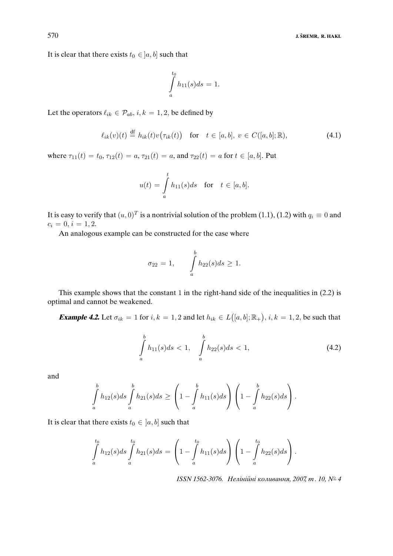It is clear that there exists  $t_0 \in [a, b]$  such that

$$
\int\limits_a^{t_0} h_{11}(s)ds = 1.
$$

Let the operators  $\ell_{ik} \in \mathcal{P}_{ab}$ ,  $i, k = 1, 2$ , be defined by

$$
\ell_{ik}(v)(t) \stackrel{\text{df}}{=} h_{ik}(t)v(\tau_{ik}(t)) \quad \text{for} \quad t \in [a, b], \ v \in C([a, b]; \mathbb{R}), \tag{4.1}
$$

where  $\tau_{11}(t) = t_0$ ,  $\tau_{12}(t) = a$ ,  $\tau_{21}(t) = a$ , and  $\tau_{22}(t) = a$  for  $t \in [a, b]$ . Put

$$
u(t) = \int_a^t h_{11}(s)ds \quad \text{for} \quad t \in [a, b].
$$

It is easy to verify that  $(u, 0)^T$  is a nontrivial solution of the problem (1.1), (1.2) with  $q_i \equiv 0$  and  $c_i = 0, i = 1, 2.$ 

An analogous example can be constructed for the case where

$$
\sigma_{22} = 1, \qquad \int\limits_a^b h_{22}(s)ds \ge 1.
$$

This example shows that the constant 1 in the right-hand side of the inequalities in (2.2) is optimal and cannot be weakened.

**Example 4.2.** Let  $\sigma_{ik} = 1$  for  $i, k = 1, 2$  and let  $h_{ik} \in L([a, b]; \mathbb{R}_+), i, k = 1, 2$ , be such that

$$
\int_{a}^{b} h_{11}(s)ds < 1, \quad \int_{a}^{b} h_{22}(s)ds < 1,
$$
\n(4.2)

and

$$
\int_{a}^{b} h_{12}(s)ds \int_{a}^{b} h_{21}(s)ds \ge \left(1 - \int_{a}^{b} h_{11}(s)ds\right) \left(1 - \int_{a}^{b} h_{22}(s)ds\right).
$$

It is clear that there exists  $t_0 \in [a, b]$  such that

$$
\int_{a}^{t_0} h_{12}(s)ds \int_{a}^{t_0} h_{21}(s)ds = \left(1 - \int_{a}^{t_0} h_{11}(s)ds\right)\left(1 - \int_{a}^{t_0} h_{22}(s)ds\right).
$$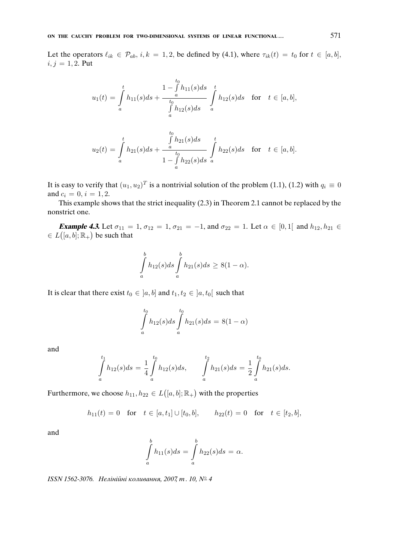Let the operators  $\ell_{ik} \in \mathcal{P}_{ab}$ ,  $i, k = 1, 2$ , be defined by (4.1), where  $\tau_{ik}(t) = t_0$  for  $t \in [a, b]$ ,  $i, j = 1, 2$ . Put

$$
u_1(t) = \int_a^t h_{11}(s)ds + \frac{1 - \int_a^{t_0} h_{11}(s)ds}{\int_a^t h_{12}(s)ds} \int_a^t h_{12}(s)ds \quad \text{for} \quad t \in [a, b],
$$

$$
u_2(t) = \int_a^t h_{21}(s)ds + \frac{\int_a^{t_0} h_{21}(s)ds}{1 - \int_a^t h_{22}(s)ds} \int_a^t h_{22}(s)ds \text{ for } t \in [a, b].
$$

It is easy to verify that  $(u_1, u_2)^T$  is a nontrivial solution of the problem (1.1), (1.2) with  $q_i \equiv 0$ and  $c_i = 0, i = 1, 2$ .

This example shows that the strict inequality (2.3) in Theorem 2.1 cannot be replaced by the nonstrict one.

**Example 4.3.** Let  $\sigma_{11} = 1, \sigma_{12} = 1, \sigma_{21} = -1$ , and  $\sigma_{22} = 1$ . Let  $\alpha \in [0,1]$  and  $h_{12}, h_{21} \in$  $\in L([a, b]; \mathbb{R}_+)$  be such that

$$
\int_{a}^{b} h_{12}(s)ds \int_{a}^{b} h_{21}(s)ds \geq 8(1-\alpha).
$$

It is clear that there exist  $t_0 \in [a, b]$  and  $t_1, t_2 \in [a, t_0]$  such that

$$
\int_{a}^{t_0} h_{12}(s)ds \int_{a}^{t_0} h_{21}(s)ds = 8(1 - \alpha)
$$

and

$$
\int_a^{t_1} h_{12}(s)ds = \frac{1}{4} \int_a^{t_0} h_{12}(s)ds, \qquad \int_a^{t_2} h_{21}(s)ds = \frac{1}{2} \int_a^{t_0} h_{21}(s)ds.
$$

Furthermore, we choose  $h_{11}, h_{22} \in L([a, b]; \mathbb{R}_+)$  with the properties

$$
h_{11}(t) = 0
$$
 for  $t \in [a, t_1] \cup [t_0, b],$   $h_{22}(t) = 0$  for  $t \in [t_2, b],$ 

and

$$
\int_a^b h_{11}(s)ds = \int_a^b h_{22}(s)ds = \alpha.
$$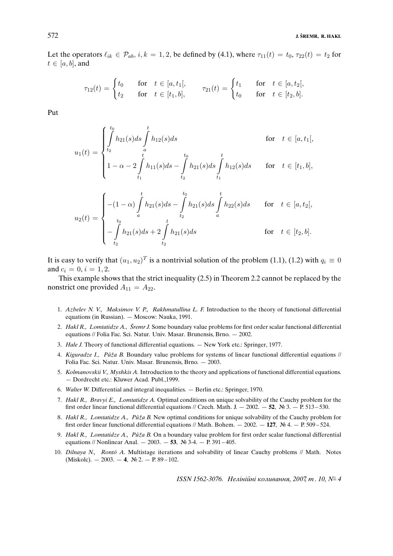Let the operators  $\ell_{ik} \in \mathcal{P}_{ab}$ ,  $i, k = 1, 2$ , be defined by (4.1), where  $\tau_{11}(t) = t_0$ ,  $\tau_{22}(t) = t_2$  for  $t \in [a, b]$ , and

$$
\tau_{12}(t) = \begin{cases} t_0 & \text{for } t \in [a, t_1[, \\ t_2 & \text{for } t \in [t_1, b], \end{cases} \quad \tau_{21}(t) = \begin{cases} t_1 & \text{for } t \in [a, t_2[, \\ t_0 & \text{for } t \in [t_2, b]. \end{cases}
$$

Put

$$
u_1(t) = \begin{cases} \int_0^{t_0} h_{21}(s)ds \int_0^t h_{12}(s)ds & \text{for } t \in [a, t_1[,\\ 1 - \alpha - 2 \int_0^t h_{11}(s)ds - \int_0^t h_{21}(s)ds \int_0^t h_{12}(s)ds & \text{for } t \in [t_1, b],\\ 1 - (\alpha - \alpha) \int_0^t h_{21}(s)ds - \int_0^t h_{21}(s)ds \int_0^t h_{22}(s)ds & \text{for } t \in [a, t_2[, \end{cases}
$$

$$
u_2(t) = \begin{cases}\n-(1-\alpha) \int_a h_{21}(s)ds - \int_{t_2} h_{21}(s)ds \int_a h_{22}(s)ds & \text{for } t \in [a, t_2], \\
\int_{t_2}^{t_0} h_{21}(s)ds + 2 \int_{t_2}^t h_{21}(s)ds & \text{for } t \in [t_2, b].\n\end{cases}
$$

It is easy to verify that  $(u_1, u_2)^T$  is a nontrivial solution of the problem (1.1), (1.2) with  $q_i \equiv 0$ and  $c_i = 0, i = 1, 2$ .

This example shows that the strict inequality (2.5) in Theorem 2.2 cannot be replaced by the nonstrict one provided  $A_{11} = A_{22}$ .

- 1. *Azbelev N. V., Maksimov V. P., Rakhmatullina L. F.* Introduction to the theory of functional differential equations (in Russian). — Moscow: Nauka, 1991.
- 2. *Hakl R., Lomtatidze A., Sremr J. ˇ* Some boundary value problems for first order scalar functional differential equations // Folia Fac. Sci. Natur. Univ. Masar. Brunensis, Brno. — 2002.
- 3. *Hale J.* Theory of functional differential equations. New York etc.: Springer, 1977.
- 4. *Kiguradze I., Půža B.* Boundary value problems for systems of linear functional differential equations // Folia Fac. Sci. Natur. Univ. Masar. Brunensis, Brno. — 2003.
- 5. *Kolmanovskii V., Myshkis A.* Introduction to the theory and applications of functional differential equations. — Dordrecht etc.: Kluwer Acad. Publ.,1999.
- 6. *Walter W.* Differential and integral inequalities. Berlin etc.: Springer, 1970.
- 7. *Hakl R., Bravyi E., Lomtatidze A.* Optimal conditions on unique solvability of the Cauchy problem for the first order linear functional differential equations // Czech. Math. J.  $-2002. -52$ , № 3.  $-$  P. 513 – 530.
- 8. *Hakl R., Lomtatidze A., Půža B.* New optimal conditions for unique solvability of the Cauchy problem for first order linear functional differential equations // Math. Bohem. — 2002. — **127**, № 4. — P. 509 – 524.
- 9. *Hakl R., Lomtatidze A., Půža B.* On a boundary value problem for first order scalar functional differential equations // Nonlinear Anal. — 2003. — **53**, № 3-4. — P. 391 – 405.
- 10. *Dilnaya N., Ronto A. ´* Multistage iterations and solvability of linear Cauchy problems // Math. Notes (Miskolc). — 2003. — **4**, № 2. — P. 89 – 102.